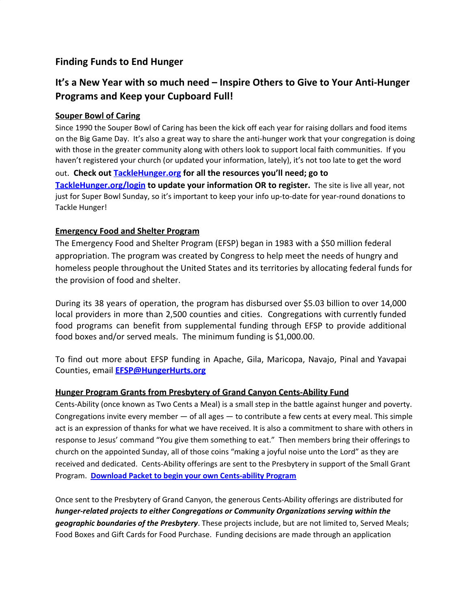## **Finding Funds to End Hunger**

# **It's a New Year with so much need – Inspire Others to Give to Your Anti-Hunger Programs and Keep your Cupboard Full!**

### **Souper Bowl of Caring**

Since 1990 the Souper Bowl of Caring has been the kick off each year for raising dollars and food items on the Big Game Day. It's also a great way to share the anti-hunger work that your congregation is doing with those in the greater community along with others look to support local faith communities. If you haven't registered your church (or updated your information, lately), it's not too late to get the word out. **Check out [TackleHunger.org](http://www.tacklehunger.org/) for all the resources you'll need; go to [TackleHunger.org/login](http://www.tacklehunger.org/login) to update your information OR to register.** The site is live all year, not just for Super Bowl Sunday, so it's important to keep your info up-to-date for year-round donations to Tackle Hunger!

### **Emergency Food and Shelter Program**

The Emergency Food and Shelter Program (EFSP) began in 1983 with a \$50 million federal appropriation. The program was created by Congress to help meet the needs of hungry and homeless people throughout the United States and its territories by allocating federal funds for the provision of food and shelter.

During its 38 years of operation, the program has disbursed over \$5.03 billion to over 14,000 local providers in more than 2,500 counties and cities. Congregations with currently funded food programs can benefit from supplemental funding through EFSP to provide additional food boxes and/or served meals. The minimum funding is \$1,000.00.

To find out more about EFSP funding in Apache, Gila, Maricopa, Navajo, Pinal and Yavapai Counties, email **[EFSP@HungerHurts.org](mailto:EFSP@HungerHurts.org)**

#### **Hunger Program Grants from Presbytery of Grand Canyon Cents-Ability Fund**

Cents-Ability (once known as Two Cents a Meal) is a small step in the battle against hunger and poverty. Congregations invite every member — of all ages — to contribute a few cents at every meal. This simple act is an expression of thanks for what we have received. It is also a commitment to share with others in response to Jesus' command "You give them something to eat." Then members bring their offerings to church on the appointed Sunday, all of those coins "making a joyful noise unto the Lord" as they are received and dedicated. Cents-Ability offerings are sent to the Presbytery in support of the Small Grant Program. **Download Packet to begin your own [Cents-ability](https://azwheat.files.wordpress.com/2019/05/centsability-packet.pdf) Program**

Once sent to the Presbytery of Grand Canyon, the generous Cents-Ability offerings are distributed for *hunger-related projects to either Congregations or Community Organizations serving within the geographic boundaries of the Presbytery*. These projects include, but are not limited to, Served Meals; Food Boxes and Gift Cards for Food Purchase. Funding decisions are made through an application